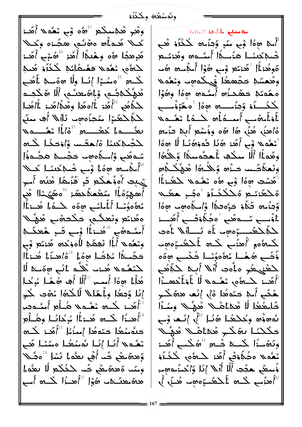وئەمئىڭىغ ولْمَنْدُؤ

<del>وَقْدِ قَدْمِهْ مَ</del>كْمْ تَمُّه وْمِ مْعَهْدْ أَمَّمْ: كملا هُدالُه هڤوشُم هجُـزه وكُملا هُبِهِيمًا هُو وِهْبِيمًا أُهِّ: "هُنَّى أَهْد لِهُ مَنْ مَعْدَدٍ وَهُمَدُائِهِ لَكُنُوْ مُحِبًّا كْتُ مُسْبَرًا إِنُّا وَلًا مِمَّتِ أَمُّعِ مْدِكْجْشُو، وَٰٓاهُ مِحْسُو، ٱلْل لِكَبِيْهِ ۚ أَهُدَ ۚ لَمُاهِ هَٰذَا وَهُدْٓ اهْدَ ۚ الْمُهَارِ لِلْمَكِنَّةِ الْمَجَزَّوِي لَلْأَلا أُفِي مِنْ لِكَشِيخِ كَتْبَاءُ وَالْحَكْسِينَ وَالْوَجَهَا لِكُلْمَ ضَّمِعٌم وَّاسِيَّاهِ مِجْسِيَةٍ مِجْسَمُوْا أَمْشَرِ مِنْ الْأَمْسِ شَمْكُنْ الْمَحْدَثَةُ الْمَحْدَثَةُ مِنْ الْمَحْدَثَةُ الْمَحْدَثَةُ الْمَ يْ بِبَ أُهوَّهِكُم ثُمِ فَنَّمَا هُدُه أَسِر لَهُ الْمَرْضُهِ ۚ وَهُمَكُمُ هُمُوا الْمَوْجَهِمَا أَ مُعْهُومُا أَأُمانُبِ 500 كَــدُا هُــزَاْل ەھٗ;ئەر وڭعدگ) خىڭدەھب ھٛدۇسلا أَمشُـهِ هُم وَ ٱلْأَمْـٰرَ مِنْ أَلْمَ فَـٰبِ هُعَكَـٰـهِ وِمْعُهِ لَا إِلَّا لَقِكُمْ لِلَّاوِحْدَهِ هَٰٓزَعُمْ وَْبِي حَجَّمَـٰدًا مُجْحًا مِهْا أَمْمَـٰزَا هُمَّنَا مُ للنَمُّـه\ هُــزم لَكْـُـه لمَكْ وَهَمْـٰمْ لَهُ هُذَٰلِ وَوَٰلَ أُمِيبٍ  $\int_0^{2z}$ لّٰہ اُبِّ وَهُمْا يُرِحُباً إِنَّا وَجِعَدًا وِلْمَمَالًا لَّاحُدُهُ! مُهْدٍ حُبِّ أَكْمَــز لكـــــــره كَــقَـــه مَــأَرِم أَمــدُـــه مِب أُهدَٰرُا كُنْ هُدَٰرُاْ يُرِكْلُنَا وَهُنْأُمْ ۖ حَدَّمَعُكُمْ حَمَّدَهُمْ إِحِدُّهُمْ أَيَّهُمْ كُلُّهِ تْعُـْمِـدْ أْنُـلْ إِنُـلْ ثَمِنْمَتُـلْ مِنْمْنَـلْ هَٰــو وَمِّمَا هَ هِلْهُ مِثْمٍ خُمَا لِلْمُكُمِ لَٰلَّا لِعَدَّهِ لِ هدهٔ هنگ هُوْ! <sup>27</sup>أُهنا گُره أُب

حديثها بالمارد 1.11.27

أَمِمْ وَوَا فِي مَيْرٍ وَجِزَمِهِ كَكْلَافٍ هُي وَوَهُدَىٰٓاْ ۚ مُدَىِّمٍ وَٛ ۖ وَوَٰى اللَّهِ ۖ وَٱ مَا لَهُ وَا اللَّهَ وَاللَّهَ وَاللَّهَ بُمَعْمَةٍ حَجّْعَتُهُمْ فَيُكْدِهِبْ وَيُعْدَلَا معَّمَمْ حَمَّدْ:ُه أَمْسُوهِ هِوَا وَهُوْا لْكُنُّسَلَّاوَ وَجَنَّمَــــهِ هِهْ أَهْمَّةٍ وَّمِـــــــمِ أَذِأُ مِثْمٍ — أَمِيهِ أَمْرِ لَكُمْ إِنَّ هُدَا هُاهنُ هُنِّي هُ اللَّهَ وَذُمَّهِ أَبَدَ تَدَّمِهِ  $\int$ اهُمَا ﴿ وَبِي أَهَٰذٍ هُ مَا كُوءِهُ مَا لَٰهَ أَلْهُ هِ وَالْمَسْرَمِ  $\int d\omega$ وهُدءٌا ٱلْله حكْبِ غُلْهِدٌومندُا وَحِكُوهُ! ولَعنَاخَــب حـزَه وَلِلْــهَا مُمِّــُـــهُه تَعْشَبُ ۞هُا وَبِ ۞هُ مُعْـُمِلًا لِلْعُـٰـزَلَٰا ا هَكْعَنْتُ مَكْكُنُوْ ۚ هَجُمٍ حَعَكَلا وُجِنَّمَه كَٰٰكُمْ حَيُّەكِمَّا وَّاٖمْكُوهِمْ وَا نْاؤْسِب مُسْمَعُس ۚ هَجُلَّاوَفْسِي أَهْسَــز لِمُلْحَقَّى بِهِ مِنْ يَاه تَسْلاَلًا لِمُوْمِ كُمْدَةُهُمْ أُهْنُبُ كُمْدَةَ أَكْلَفُكُمْ وَالْمِنْدَةِ وَالْمُسَنَّفِينَ وَالْمُؤْمِنَةِ وَالْمُؤ ذَهَب هُمُــا مُهُمْدُ كُنْمَبِ هِهَه لحقُني عُبر ما أَما أَبْط لَحَكْمَ هُم أَهَب; كِنْ وَهُ عَصَّدِها لَمْ يَأْذِيَٰكُمِنْ أَرْ هُنَّبِ أَجْ حَمَّوهُا ةَلِي إِنَّفْ هَوْ كَبِي ذَاعدُهُا لًا مُنمَامَكِ مُدَّكِ ومُحَلَّلٍ شَرْهُ وَحُكْفُ اللَّهُ لَيْ اللَّهُ وَلَكُمْ وَمَعَ حَكْكْسًا بِهَكْبِرٍ مُعْمَلِهُمْ مُوَيَّى الْمَنْ وَنَشَمَأْ لَمْسَلاً شَــْجِ "هُكْسِ أَهَٰذ مْعُمْدًا هِجُكُوفُ أَهُدْ لِمَدْهُمٍ كُلُمَدُو وُسطَّى هجْتِ ٱلْلالَّةَ لَا يُمَّا وَٱكْتُرَّمُوهِ  $\hat{d}$  )  $\sum_{i=1}^{n} a_i$  )  $\sum_{i=1}^{n} a_i$  )  $\sum_{i=1}^{n} a_i$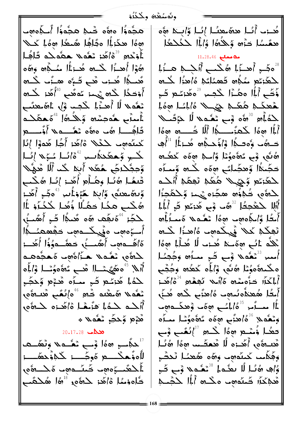وئەممُعْدە ولْكْدُو

هَجُوزًا وَهُوَ ضَبْرٍ هَجُوزًا أَحَكَمِوه ههُا هكْزِبُمُ مِجَاهُا هُىعُا هِهْا كَــلا أَوْكُمْ "ةُ}هُد يُعُمِيْ حَقْمَتْ شَاجُهِ هُوْا أُهِيزًا كُنْهُ هُنْ ذَٰلًا مُنْتَوْهُ وَهُو مَّىــِمَ! مُــ; فَـــي ضَـَرٌه هــَ; ـُــــه أَوْتَـٰذُا لَكُـْنَ يُـٰهَ مَّـٰ مَـٰهُمْ مِنْ الْمُتَامَ الْمُتَامَ الْمُتَامَ تْعُدِيدْ لَمْ أَحِدْبَا حُكْجِبٍ وْلِي بْلْخَمْعِيْبَ أْسِلْبِ هُوَجِشْهِ وَجَدْهُ إِلَّهُ وَهَجَدَهِ ثَابُهُــا هُـه ههُو يُعُـــوها أُؤُـــــو كْمِنُوهِ لِلْكُلا وْاهُمْ أُجُلْ هُوَوْا إِنُا كْبِرٍ وَحْكَمْتُدَاسِبِ ۚ وْالْكَ لَيْهَا إِنَّا وَّحِجَّدَاجُو هُعَد أَبْطِ كُبِّ أَلَّا مُدِيَّلا فْعَمَا هُنَا وِهُـأَمْ أُهَٰـٰٓ إِنَٰا هُـْمَـٰ وَّلهُ معلقُ وَّابِط هُبَّوْ أُلب <sup>43</sup>هجُو أُهْتَ هُكْبٍ هَـدُا حَمُـلًا ؤُهُـا كُـدُرَّوْ ۚ أَا لِكُمْ:  $\stackrel{4}{\sim}$ ە لَهُمْ اللّٰہِ أَهْمِيَٰ أَمْسِيَّهِ مَعْ سَمِّسَتَّمْ مِنْ مَجْسَمَةً هْ أَكَـــده بَ أَهُمـــزُ، خصَّــدووُّا أَهَـــز مدەمبەھ ئەسلام ھەزاۋەب كاھىت أَأَلاً ۚ ٥هُنَّهُ ثَــالٌ هُبِ مُرْهُ٥وُنَــا وۡۤالِمُ٥ للهُ أَ هُٰٓئِكُمْ قَٰٓجٍ مِعِلُوا هُـَٰٓءٍ وَجُدَجَٰٓجٍ مَعْد الْمَعْدِدِ عَمْدِهِ مَا مَا مَعْدِهُ مِنْ مَعْدَوْهِ أَأْكُدُ كُدُمْ! فَزُمْهَا وْأَهْدَهِ كُدْوَى هُرْم وَّحكُ مُعُملا \*  $20.17.28$   $\triangle$ أَحَدُّمَــِ مَاهُ أَوْسَى مُعْــمَــدَ وَتُـمَّـــعَــ للْمؤْهكْسِ هُوجِّسْهْ كْلِجْوْحِيْهُسْهْ لَمْحَمَّـــ وَمِن خَمَّـــومِ وَحَمَّــوهُ حًاه; مَمَّا هُ/هُ: حَدُّهِ, ۚ وَا هُحْمَب

هُــزب أَنُــا هدَهَ حديثًـا إنـُـا وَّآيــٰهَ هِ َهِ همَّسُا حَزْهِ وَجِدُهُا وُابْلَا حَكَجِعًا  $11.28.46$ أَهِجْمِ أَهِمَٰٓ؛ هُكُبِ ٱلْأَجِهِ هِـَٰٓ؛ لمعَنْهُمْ سُلَمِهِ مُعْصَلِهُمْ وَأَهْزَا لَكُلُمْ وَّضَى ٱلْمَا مِمْـزْا لِكَجِب "ُوهَٰزِعُـمِ قَـٰٓءٍ لمفعكه مُعَه بحيى المنابئ الم كَمُبْلَحِ "هُ؟ وْبِي يْعْبُدِ لَا جَرْقُبِ أَبَارُ هِهَا كَمَنْكُمْ أَلَّا خُـــةٍ هِهَا خَــِهُـَ وُوَصَـٰٓهِۢٳ وۡٛٳُوۡـَـٰـٰٓهِ هُــٰٓ; أُإِ ۚ أَٰٓهُ ۖ هُ ثُمَّ وَبِ مُهُمْ وَمُ أَوْسِطِ مِهْمَ كَعَدُهِ حَجَّىٰدًا وَّهجُماسٌ وَهُوَ لَكُــْ وَمِعْرُو لمَعْبَمُع وَّجْهَا هُعَهِ نُقِعُهِ ٱلْكُمُّ أَحْدَّى شَكِّوَّه هِجَّزَه هُهُمْ وَكَكَحِزًا ٱلْلا حَمْدَدُا ۚ ۚ هُ۔ وَٓبِ مَّٰٓ مَّٰٓ مَّٰٓ وَٓ ۖ وَ ٱلۡ الۡ الۡ الۡ ا أَمِثًا وَٱلْمِلْوَوِفِ وَوَٰٓا مُعْشَفِينَ وَصَدَٰلِكُونَ تَعِكْمِ كَلا فَيَكْمَصِ هُاهِمْ! كَمْ هِ كُلُّه مْنَى مِهَمْنَ هُنَى لَا هُـأَلِمْ مِهْ أُممہ ''ْمُعَمِّلا وَّے ثَمِ ممارُہ وِجُجِمًا مكْدەُەدُدا ھُنُّە وْالْمُ كَعُدُو وَجُبْب أَبِلَكْلَا حَزَّەمْدَهِ هَ/أَسْلا تَجِهْهِ \* هُ/هُــز أَمِثُل هُعدَاهُ سُده بهُ اهزَى كُره هُـزَى اَا مسأم <sup>35</sup>ة/باْئے 50مَد وْهكـــــمٯم وَمْعُدَلا ۚ ۚ ۚ أَأَهْلُوَ بِهِ مَنْ مُحَمَّدٍ مَسْرَهِ تتما وُسْت رههُ الكت آرُانُهُب وُب هْدِهُو، أَهْدَى لَا هُمْضُمِهِ هِهَا هُنُا وَفَكَّامِبْ كَيْتُوهُمْ وَوَى هَاهْمَا لَيْخْتَجْ وُافِ هُنُا لَٰا تَعْدَلُ أَنْقُدِيهِ وَجِبِ ضَرِ هُدِكِكُلا خُمعُهِ وَحَده أَبَالَ حَجْمِهِ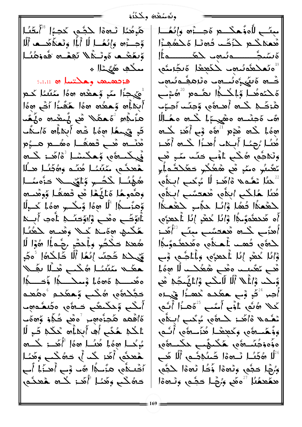وئەمئىئىزە ولمَىنْدۇ

هَٰۭٓٓٓٓۿۮؘٳۦڷ۞ۉٳۦٮڋؿٞڡ؞ػڄۦٕۢٳۦ۠ٛٛۥٛٞؖٞؠػؙٮۢٳ وَّجِسْنُوهِ وَإِنَّعْسَا لَٰا أَبَلًا وَتَعَذَّقَهُـــمَّ أَلَّا وَّىمَّعْـــم ەُونْــٰكُلا ئېمْـــە قُەزەنُــٰل مع المَرْزِهْ بِمُكْمَّد قادهمه وهكتما (1.1.1 لَّكُمْ الْمُتَمَّ أَوْهِ هُدَّةٌ مِنْ الْمَكْتُمَاتُ الْمَسْتَمَرَّةُ مِنْ الْمَسْتَمَرَّةُ مِنْ أَبِبْلَمَاهِ وَجَعِبُدُهُ مِنْ هُنَّمَٰٓ أَنْ مَلَّا لَهُمْ وَ هَذُمُ وَا مَعْظَلاً مِّ مُحَمَّلاً مَنْ مَهْدَهِ لَّهِ فَيْ هَذَاهُ مِنْ أَبَاءَ مِنْ أَهْمِينَ مِنْ هُنْــه هُـــ دُههُــا مهُـــع هـــرُم فْكَسِيَّةُهِ، وَحَكَّسْكُمْ أَهْلُهُمْ كَسْبَةٍ هْعِنْــُـمِ مَنْتَسُــل هُتَــه وَهُجَنُــل هــلُل هُهُنَــا كْـدُــبِ وَلَيْنِــــلا حَزَّهنَــا وهُدوهُا هَٰلمُهُا هُم تُعفُّا وُوهُــه وُهِنُسِيًٰا ۚ ٱلْ وَهُا وُسُكْسِرٍ وَهُ ۚ كَسِيرًا لَّا يَجْمَعُ نَّارَوْخَــــع هُــــع وْارْفِحنَــــمْ لِلْهِجِ أَبِـــٰهَا هَكْسِمٍ 50ْمِنْهُ كَمِيلًا وَقْعَدِ لِلْحُلُمُ هُعنا حكْحُر وِلْمحْمِ رِجُّه أَا هُوْا لُا فَهَجَمَا خَجِنَبَ إِنْمُا أَلَّا خَاجُجُوا ۚ وَجَرِ حكَــــلا مُتَسَــٰ اهُــْتَـــ مْــُلَا بِفَــلا ەھُىـــە ھَەھُمْ ۋىمىكـــەدا ۆُخـــەدا حَجَّدْهُ) هُكْبَ وُحْمَدْء ۚ هُمُعْدَ أَسْكُم وَّحْكُمْعُم حَدةُ وَمِنْعُمُوهَ كَارْقُعُمْ هَجْزُهُ؋مِ ۚ وَهُيَ خُكِّرَةٍ وَاللَّهَ فَ لمَكْمِ هُنَّى أَبِ أَبِدَأَهِ كَكُمْ ثَبِ لَٰا يُرِكْمِا هِهْا هُنُمَا هِهْ! أُهْمَى: كُمْ هِ هْعِدُهِ، أَهَٰذِ \* لَمَّهُ لَمَّ كَلَّمَ وَهَٰنَا ۖ أَشْنأُو، هزَّىـِ\$ا هَـٰ وْبِي أَهـٰذَا أَب حَدُّكُمْ وَمَحْسًا ۚ أُهَٰذِ كُلُّهُ ۖ هُعْشُمْ ۖ

مبئب لأدؤهك ومشتره وإنف هُعَمْكُمْ لِأَوْضُبِ دُوسْلَ هَكْمُهِـزْا ە ئىستىگىسىم ئىسى ئىگسىم ئا أەتملىشەنلىرە بىرىشكى ئىجانس خَـــه ەَنبُہُوَىٰـــه مى مقرارى مىگ هَكْمُعفُـا وَّالِكْــِيْا بِعُــُـومِ ٱلْمُشْمَعِ هُزَهُكُمْ كُلُّهُ أُهْلُوهُ وَجِئُكَ أُجِيَّت الْمُ حَسْسَهِ مِنْ يَجْرِيقُهِ صَدَالُهُ هِهُا لَكُهُ هُثِمْ لَنْ هُ وَبِي أَهَدْ لَكُ هُنُـا رُجِئُـا أَبِـٰهم أُهــزُا كُــهِ أَهُــز وِنْلاجُمِ شُكْبِ لْمُوْبِ حَتَّ مَيْرٍ شَيْ كَعَْمِبُو مِمْ هُو هُعُكْبِ حَعَكْتُ أَبِي "حمُّا مُعْدِدة وْاهْدْ لَا جُهَّد الْجَامِعِ الْمَوْمِينَ هُنا هُلگُم ابْلُه هُعصَب ابْلُه لحقْمَدُا قُعُما وْٱنْا حِبَّبِ حَقْمَـٰدًا أُه مَّدهَدُوَمِمُّا وْاْتُا حُقْمِ إِنَّا غُدْهِوْمِ أهنُّب كْــــ هُــــمتَسَب مبنَّـب  $\mathring{\ell}^{\scriptscriptstyle 23}$ هَـــز لِهُمْ تُعبِ أَحتَمْهِ مِعْدَهُمْ وَالْمُحَمَّدِهُمْ وْۢٱيُّا يُحِثْبِ ۗ إِيَّا ۖ أَحِجْجَہٖ وِۦآ ۖ اَحِسَّے ۖ وَٛ بِ ھُے مُعُملہ ہونے ہُعُکسہ لَا ہِوْیا وَّحْد وْ/نُا الْأَا لَّاحْد وْ/نايُحْجْ مْع أُجِبِ "كُبِ وْسِي هِعْكِدِهِ كَعْصَرُّا فِيْهِاهِ كَمِلا هُنَّهِ ذَوْبٍ أَسَّبٍ تَهْمَدُا أَلْتُمِ تعَسْمِلا ةْاهْدِ لِمَسْرَهُ مِ مُبِكْسٍ ابْلَاهِي وَذَّهَـــوَّهِ وَكَعِمْـاً هُزَـــوَّهِ أَنَّــهِ ەۋەۋئىكىس ھَگىمْپ بىلگىدۇە, أَلَّا هُجُنًا نَـهِ ۚ أَ خَىنُهِ ثَمَهُ ۚ أَلَّا هَب وُرِجْما حَجُّمٍ وِنُوهُا ذُخُل نُوهُا كَجُّمٍ، هفَّعمُنُا آهُ مَيْ وَرُجْلَ حَجَّمٍ وَنُـ90\$